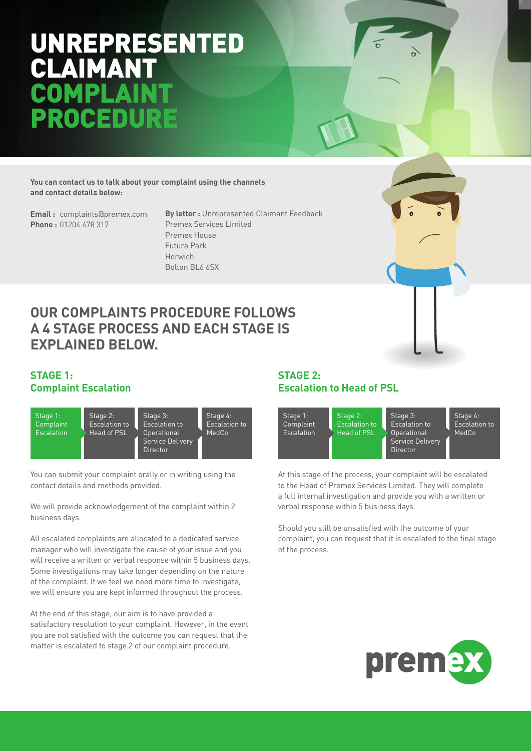# UNREPRESENTED CLAIMANT COMP ROCE

**You can contact us to talk about your complaint using the channels and contact details below:**

**Email :** complaints@premex.com **Phone :** 01204 478 317

**By letter :** Unrepresented Claimant Feedback Premex Services Limited Premex House Futura Park Horwich Bolton BL6 6SX

### **OUR COMPLAINTS PROCEDURE FOLLOWS A 4 STAGE PROCESS AND EACH STAGE IS EXPLAINED BELOW.**

#### **STAGE 1: Complaint Escalation**



You can submit your complaint orally or in writing using the contact details and methods provided.

We will provide acknowledgement of the complaint within 2 business days.

All escalated complaints are allocated to a dedicated service manager who will investigate the cause of your issue and you will receive a written or verbal response within 5 business days. Some investigations may take longer depending on the nature of the complaint. If we feel we need more time to investigate, we will ensure you are kept informed throughout the process.

At the end of this stage, our aim is to have provided a satisfactory resolution to your complaint. However, in the event you are not satisfied with the outcome you can request that the matter is escalated to stage 2 of our complaint procedure.

### **STAGE 2: Escalation to Head of PSL**



At this stage of the process, your complaint will be escalated to the Head of Premex Services Limited. They will complete a full internal investigation and provide you with a written or verbal response within 5 business days.

Should you still be unsatisfied with the outcome of your complaint, you can request that it is escalated to the final stage of the process.